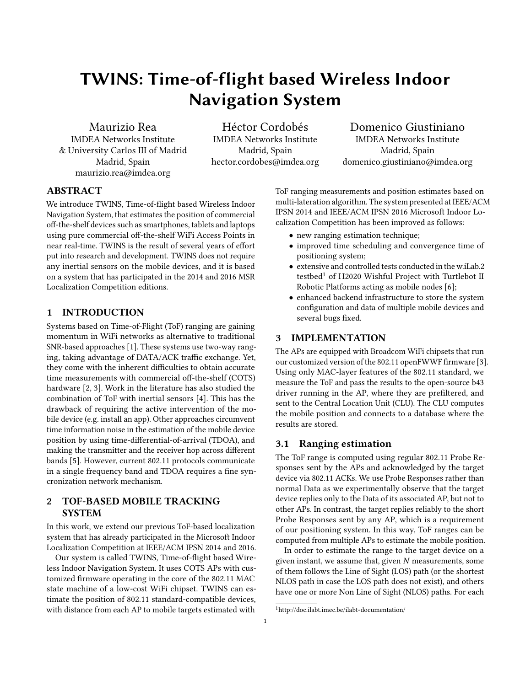# TWINS: Time-of-flight based Wireless Indoor Navigation System

Maurizio Rea IMDEA Networks Institute & University Carlos III of Madrid Madrid, Spain maurizio.rea@imdea.org

Héctor Cordobés IMDEA Networks Institute Madrid, Spain hector.cordobes@imdea.org

Domenico Giustiniano IMDEA Networks Institute Madrid, Spain domenico.giustiniano@imdea.org

## ABSTRACT

We introduce TWINS, Time-of-flight based Wireless Indoor Navigation System, that estimates the position of commercial off-the-shelf devices such as smartphones, tablets and laptops using pure commercial off-the-shelf WiFi Access Points in near real-time. TWINS is the result of several years of effort put into research and development. TWINS does not require any inertial sensors on the mobile devices, and it is based on a system that has participated in the 2014 and 2016 MSR Localization Competition editions.

### 1 INTRODUCTION

Systems based on Time-of-Flight (ToF) ranging are gaining momentum in WiFi networks as alternative to traditional SNR-based approaches [\[1\]](#page-1-0). These systems use two-way ranging, taking advantage of DATA/ACK traffic exchange. Yet, they come with the inherent difficulties to obtain accurate time measurements with commercial off-the-shelf (COTS) hardware [\[2,](#page-1-1) [3\]](#page-1-2). Work in the literature has also studied the combination of ToF with inertial sensors [\[4\]](#page-1-3). This has the drawback of requiring the active intervention of the mobile device (e.g. install an app). Other approaches circumvent time information noise in the estimation of the mobile device position by using time-differential-of-arrival (TDOA), and making the transmitter and the receiver hop across different bands [\[5\]](#page-1-4). However, current 802.11 protocols communicate in a single frequency band and TDOA requires a fine syncronization network mechanism.

#### 2 TOF-BASED MOBILE TRACKING **SYSTEM**

In this work, we extend our previous ToF-based localization system that has already participated in the Microsoft Indoor Localization Competition at IEEE/ACM IPSN 2014 and 2016.

Our system is called TWINS, Time-of-flight based Wireless Indoor Navigation System. It uses COTS APs with customized firmware operating in the core of the 802.11 MAC state machine of a low-cost WiFi chipset. TWINS can estimate the position of 802.11 standard-compatible devices, with distance from each AP to mobile targets estimated with

ToF ranging measurements and position estimates based on multi-lateration algorithm. The system presented at IEEE/ACM IPSN 2014 and IEEE/ACM IPSN 2016 Microsoft Indoor Localization Competition has been improved as follows:

- new ranging estimation technique;
- improved time scheduling and convergence time of positioning system;
- extensive and controlled tests conducted in the w.iLab.2 testbed<sup>[1](#page-0-0)</sup> of H2020 Wishful Project with Turtlebot II Robotic Platforms acting as mobile nodes [\[6\]](#page-1-5);
- enhanced backend infrastructure to store the system configuration and data of multiple mobile devices and several bugs fixed.

#### 3 IMPLEMENTATION

The APs are equipped with Broadcom WiFi chipsets that run our customized version of the 802.11 openFWWF firmware [\[3\]](#page-1-2). Using only MAC-layer features of the 802.11 standard, we measure the ToF and pass the results to the open-source b43 driver running in the AP, where they are prefiltered, and sent to the Central Location Unit (CLU). The CLU computes the mobile position and connects to a database where the results are stored.

#### <span id="page-0-1"></span>3.1 Ranging estimation

The ToF range is computed using regular 802.11 Probe Responses sent by the APs and acknowledged by the target device via 802.11 ACKs. We use Probe Responses rather than normal Data as we experimentally observe that the target device replies only to the Data of its associated AP, but not to other APs. In contrast, the target replies reliably to the short Probe Responses sent by any AP, which is a requirement of our positioning system. In this way, ToF ranges can be computed from multiple APs to estimate the mobile position.

In order to estimate the range to the target device on a given instant, we assume that, given  $N$  measurements, some of them follows the Line of Sight (LOS) path (or the shortest NLOS path in case the LOS path does not exist), and others have one or more Non Line of Sight (NLOS) paths. For each

<span id="page-0-0"></span><sup>1</sup><http://doc.ilabt.imec.be/ilabt-documentation/>